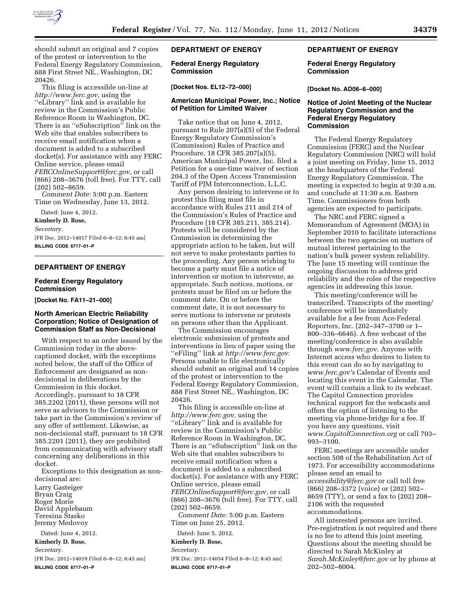

should submit an original and 7 copies of the protest or intervention to the Federal Energy Regulatory Commission, 888 First Street NE., Washington, DC 20426.

This filing is accessible on-line at *<http://www.ferc.gov>*, using the ''eLibrary'' link and is available for review in the Commission's Public Reference Room in Washington, DC. There is an ''eSubscription'' link on the Web site that enables subscribers to receive email notification when a document is added to a subscribed docket(s). For assistance with any FERC Online service, please email *[FERCOnlineSupport@ferc.gov](mailto:FERCOnlineSupport@ferc.gov)*, or call (866) 208–3676 (toll free). For TTY, call (202) 502–8659.

*Comment Date:* 5:00 p.m. Eastern Time on Wednesday, June 13, 2012.

Dated: June 4, 2012.

**Kimberly D. Bose,**  *Secretary.* 

[FR Doc. 2012–14017 Filed 6–8–12; 8:45 am] **BILLING CODE 6717–01–P** 

# **DEPARTMENT OF ENERGY**

#### **Federal Energy Regulatory Commission**

**[Docket No. FA11–21–000]** 

#### **North American Electric Reliability Corporation; Notice of Designation of Commission Staff as Non-Decisional**

With respect to an order issued by the Commission today in the abovecaptioned docket, with the exceptions noted below, the staff of the Office of Enforcement are designated as nondecisional in deliberations by the Commission in this docket. Accordingly, pursuant to 18 CFR 385.2202 (2011), these persons will not serve as advisors to the Commission or take part in the Commission's review of any offer of settlement. Likewise, as non-decisional staff, pursuant to 18 CFR 385.2201 (2011), they are prohibited from communicating with advisory staff concerning any deliberations in this docket.

Exceptions to this designation as nondecisional are:

Larry Gasteiger Bryan Craig Roger Morie David Applebaum Teresina Stasko Jeremy Medovoy

Dated: June 4, 2012.

**Kimberly D. Bose,** 

*Secretary.* 

[FR Doc. 2012–14019 Filed 6–8–12; 8:45 am] **BILLING CODE 6717–01–P** 

## **DEPARTMENT OF ENERGY**

**Federal Energy Regulatory Commission** 

## **[Docket Nos. EL12–72–000]**

#### **American Municipal Power, Inc.; Notice of Petition for Limited Waiver**

Take notice that on June 4, 2012, pursuant to Rule 207(a)(5) of the Federal Energy Regulatory Commission's (Commission) Rules of Practice and Procedure, 18 CFR 385.207(a)(5), American Municipal Power, Inc. filed a Petition for a one-time waiver of section 204.3 of the Open Access Transmission Tariff of PJM Interconnection, L.L.C.

Any person desiring to intervene or to protest this filing must file in accordance with Rules 211 and 214 of the Commission's Rules of Practice and Procedure (18 CFR 385.211, 385.214). Protests will be considered by the Commission in determining the appropriate action to be taken, but will not serve to make protestants parties to the proceeding. Any person wishing to become a party must file a notice of intervention or motion to intervene, as appropriate. Such notices, motions, or protests must be filed on or before the comment date. On or before the comment date, it is not necessary to serve motions to intervene or protests on persons other than the Applicant.

The Commission encourages electronic submission of protests and interventions in lieu of paper using the ''eFiling'' link at *[http://www.ferc.gov.](http://www.ferc.gov)*  Persons unable to file electronically should submit an original and 14 copies of the protest or intervention to the Federal Energy Regulatory Commission, 888 First Street NE., Washington, DC 20426.

This filing is accessible on-line at *[http://www.ferc.gov,](http://www.ferc.gov)* using the ''eLibrary'' link and is available for review in the Commission's Public Reference Room in Washington, DC. There is an ''eSubscription'' link on the Web site that enables subscribers to receive email notification when a document is added to a subscribed docket(s). For assistance with any FERC Online service, please email *[FERCOnlineSupport@ferc.gov,](mailto:FERCOnlineSupport@ferc.gov)* or call (866) 208–3676 (toll free). For TTY, call (202) 502–8659.

*Comment Date:* 5:00 p.m. Eastern Time on June 25, 2012.

# Dated: June 5, 2012.

**Kimberly D. Bose,**  *Secretary.* 

[FR Doc. 2012–14054 Filed 6–8–12; 8:45 am]

**BILLING CODE 6717–01–P** 

# **DEPARTMENT OF ENERGY**

#### **Federal Energy Regulatory Commission**

**[Docket No. AD06–6–000]** 

### **Notice of Joint Meeting of the Nuclear Regulatory Commission and the Federal Energy Regulatory Commission**

The Federal Energy Regulatory Commission (FERC) and the Nuclear Regulatory Commission (NRC) will hold a joint meeting on Friday, June 15, 2012 at the headquarters of the Federal Energy Regulatory Commission. The meeting is expected to begin at 9:30 a.m. and conclude at 11:30 a.m. Eastern Time. Commissioners from both agencies are expected to participate.

The NRC and FERC signed a Memorandum of Agreement (MOA) in September 2010 to facilitate interactions between the two agencies on matters of mutual interest pertaining to the nation's bulk power system reliability. The June 15 meeting will continue the ongoing discussion to address grid reliability and the roles of the respective agencies in addressing this issue.

This meeting/conference will be transcribed. Transcripts of the meeting/ conference will be immediately available for a fee from Ace-Federal Reporters, Inc. (202–347–3700 or 1– 800–336–6646). A free webcast of the meeting/conference is also available through *[www.ferc.gov](http://www.ferc.gov)*. Anyone with Internet access who desires to listen to this event can do so by navigating to *[www.ferc.gov's](http://www.ferc.gov)* Calendar of Events and locating this event in the Calendar. The event will contain a link to its webcast. The Capitol Connection provides technical support for the webcasts and offers the option of listening to the meeting via phone-bridge for a fee. If you have any questions, visit *[www.CapitolConnection.org](http://www.CapitolConnection.org)* or call 703– 993–3100.

FERC meetings are accessible under section 508 of the Rehabilitation Act of 1973. For accessibility accommodations please send an email to *[accessibility@ferc.gov](mailto:accessibility@ferc.gov)* or call toll free (866) 208–3372 (voice) or (202) 502– 8659 (TTY), or send a fax to (202) 208– 2106 with the requested accommodations.

All interested persons are invited. Pre-registration is not required and there is no fee to attend this joint meeting. Questions about the meeting should be directed to Sarah McKinley at *[Sarah.McKinley@ferc.gov](mailto:Sarah.McKinley@ferc.gov)* or by phone at 202–502–8004.